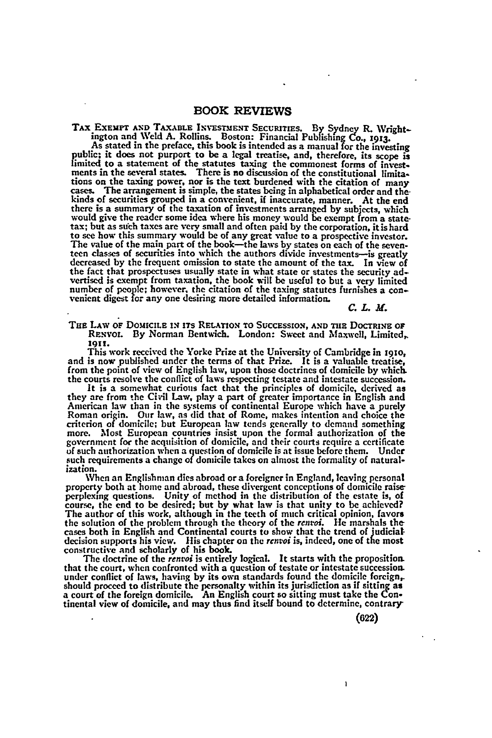## **BOOK REVIEWS**

TAX EXEMPT AND TAXABLE INVESTMENT SECURITIES. By Sydney R. Wright-<br>ington and Weld A. Rollins. Boston: Financial Publishing Co., 1913.<br>As stated in the preface, this book is intended as a manual for the investing

As stated in the preface, this book is intended as a manual for the investing<br>public; it does not purport to be a legal treatise, and, therefore, its scope is<br>limited to a statement of the statutes taxing the commonest for tions on the taxing power, nor is the text burdened with the citation of many cases. The arrangement is simple, the states being in alphabetical order and thekinds of securities grouped in a convenient, if inaccurate, manner. At the end there is a summary of the taxation of investments arranged **by** subjects, which would give the reader some idea where his money would be exempt from a statetax; but as such taxes are very small and often paid by the corporation, it is hard to see how this summary would be of any great value to a prospective investor. The value of the main part of the book—the laws by states the fact that prospectuses usually state in what state or states the security ad-vertised is exempt from taxation, the book will be useful to but a very limited number of **people;** however, the citation of the taxing statutes furnishes a con- venient digest **for** any one desiring more detailed information.

*C. L. M.*

**THE** LAw **oF DOMICILE** IN ITS RELATION TO **SUCCESSION,** AND **Tim** DOCTRINE **OF** RENVOL By Norman Bentwich. London: Sweet and Maxwell, Limited, **1911.**

This work received the Yorke Prize at the University of Cambridge in 1910, and is now published under the terms of that Prize. It is a valuable treatise, from the point of view of English law, upon those doctrines of domicile by which. the courts resolve the conflict of laws respecting testate and intestate succession.

It is a somewhat curious fact that the principles of domicile, derived as they are from the Civil Law, play a part of greater importance in English and American law than in the systems of continental Europe which have a purely Roman origin. Our law, as did that of Rome, makes intention and choice the criterion of domicile; but European law tends generally to demand something more. Most European countries insist upon the formal authorization of the government for the acquisition of domicile, and their courts require a certificate **of** such authorization when a question of domicile is at issue before them. Under such requirements a change of domicile takes on almost the formality of naturalization.

When an Englishman dies abroad or a foreigner in England, leaving personal property both at home and abroad, these divergent conceptions of domicile raiseperplexing questions. Unity of method in the distribution of the estate is, of course, the end to be desired; but by what law is that unity to be achieved? The author of this work, although in the teeth of much critical opinion, favors the solution of the problem through the theory of the rentoi. He marshals the cases both in English and Continental courts to show that the trend of judicial decision supports his view. His chapter on the rentoi is, indeed constructive and scholarly of his book.

**The** doctrine of the *rentoi* is entirely logical. It starts with the proposition. that the court, when confronted with a question of testate or intestate succession under conflict of laws, having by its own standards found the domicile foreign, should proceed to distribute the personalty within its jurisdiction as if sitting as<br>a court of the foreign domicile. An English court so sitting must take the Con-<br>tinental view of domicile, and may thus find itself bound

**(622)**

ì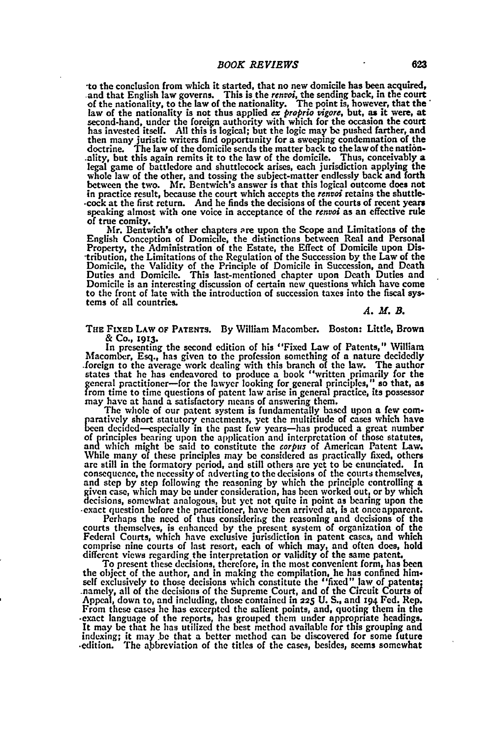to the conclusion from which it started, that no new domicile has been acquired, and that English law governs. This is the *rentoi*, the sending back, in the court of the nationality, to the law of the nationality. The poi law of the nationality is not thus applied *ex proprio vigore,* but, as it were, at second-hand, under the foreign authority with which for the occasion the court has invested itself. **All** this is logical; but the logic may **be** pushed farther, and then many juristic writers find opportunity for a sweeping condemnation of the doctrine. The law of the domicile sends the matter back to the law of the nation-.ality, but this again remits it to the law of the domicile. Thus, conceivably a legal game of battledore and shuttlecock arises, each jurisdiction applying the whole law of the other, and tossing the subject-matter endlessly back and forth between the two. Mr. Bentwich's answer is that this logical outcome does not in practice result, because the court which accepts the *renvoi* retains the shuttle- -cock at the first return. And he finds the decisions of the courts of recent years speaking almost with one voice in acceptance of the *renvoi* as an effective rule

Mr. Bentwich's other chapters are upon the Scope and Limitations of the English Conception of Domicile, the distinctions between Real and Personal Property, the Administration of the Estate, the Effect of Domicile upon Dis- -tribution, the Limitations of the Regulation of the Succession **by** the Law of the Domicile, the Validity of the Principle of Domicile in Succession, and Death Duties and Domicile. This last-mentioned chapter upon Death Duties and Domicile is an interesting discussion of certain new questions which have come to the front of late with the introduction of succession taxes into the fiscal **sys**tems of all countries.

*A. M. B.*

**THE** FIXED **LAW OF PATENTS. By** William Macomber. Boston: Little, Brown **& Co., 1913.**

In presenting the second edition of his "Fixed Law of Patents," William Macomber, Esq., has given to the profession something of a nature decidedly foreign to the average work dealing with this branch of the law. The author states that he has endeavored to produce a book "written primarily for the general practitioner-for the lawyer looking for general principles," so that, as from time to time questions of patent law arise in general practice, its possessor may have at hand a satisfactory means of answering them.

The whole of our patent system is fundamentally based upon a few com- paratively short statutory enactments, yet the multitiude of cases which have been decided--especially in the past few years-has produced a great number of principles hearing upon the application and interpretation of those statutes, and which might be said to constitute the *corpus* of American Patent Law. While many of these principles may **be** considered as practically fixed, others are still in the formatory period, and still others are yet to **be** enunciated. In consequence, the necessity of adverting to the decisions of the courts themselves, and step by step following the reasoning by which the principle controlling a given case, which may be under consideration, has been worked

-exact question before the practitioner, have been arrived at, is at onceapparent. Perhaps the need of thus considerug the reasoning and decisions of the courts themselves, is enhanced **by** the present system of organization of the **Federal** Courts, which have exclusive jurisdiction in patent cases, and which comprise nine courts of last resort, each of which may, and often does, hold<br>different views regarding the interpretation or validity of the same patent.<br>To present these decisions, therefore, in the most convenient form,

the object of the author, and in making the compilation, he has confined him-<br>self exclusively to those decisions which constitute the "fixed" law of patents;<br>namely, all of the decisions of the Supreme Court, and of the C happeal, down to, and including, those contained in 225 **U.** S., and 194 Fed. Rep. Appeal, down to, and including, those contained in 225 **U.** S., and 194 Fed. Rep. From these cases he has excerpted the salient points, and, quoting them in the exact language of the reports, has grouped them under appropriate headings. It may be that he has utilized the best method available for this g indexing; it may be that a better method can be discovered for some future edition. The abbreviation of the titles of the cases, besides, seems somewhat